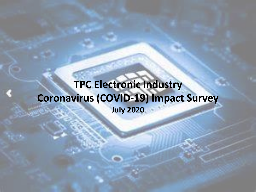## **TPC Electronic Industry Coronavirus (COVID-19) Impact Survey July 2020**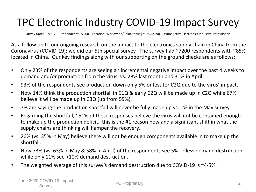## TPC Electronic Industry COVID-19 Impact Survey

Survey Date: July 1-7 Respondents: ~7200 Location: Worldwide/China focus (~85% China) Who: Active Electronics Industry Professionals

As a follow up to our ongoing research on the impact to the electronics supply chain in China from the Coronavirus (COVID-19); we did our 5th special survey. The survey had ~7200 respondents with ~85% located in China. Our key findings along with our supporting on the ground checks are as follows:

- Only 23% of the respondents are seeing an incremental negative impact over the past 4 weeks to demand and/or production from the virus; vs. 28% last month and 31% in April.
- 93% of the respondents see production down only 5% or less for C2Q due to the virus' impact.
- Now 14% think the production shortfall in C1Q & early C2Q will be made up in C2Q while 67% believe it will be made up in C3Q (up from 59%).
- 7% are saying the production shortfall will never be fully made up vs. 1% in the May survey.
- Regarding the shortfall, ~51% of these responses believe the virus will not be contained enough to make up the production deficit. this is the #1 reason now and a significant shift in what the supply chains are thinking will hamper the recovery.
- 26% (vs. 35% in May) believe there will not be enough components available in to make up the shortfall.
- Now 73% (vs. 63% in May & 58% in April) of the respondents see 5% or less demand destruction; while only 11% see >10% demand destruction.
- The weighted average of this survey's demand destruction due to COVID-19 is ~4-5%.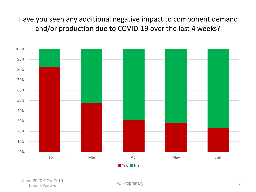Have you seen any additional negative impact to component demand and/or production due to COVID-19 over the last 4 weeks?

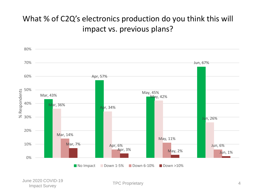### What % of C2Q's electronics production do you think this will impact vs. previous plans?

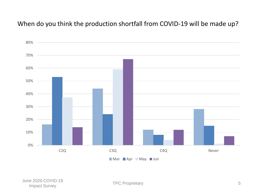#### When do you think the production shortfall from COVID-19 will be made up?

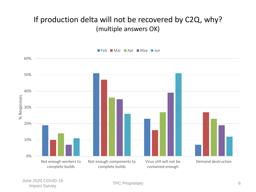### If production delta will not be recovered by C2Q, why? (multiple answers OK)



June 2020 COVID-19 Let the Contract Survey of the Contract Survey of the Contract Survey of the Contract Survey of the Contract Survey of the Contract Survey of the Contract Survey of the Contract Survey of the Contract Survey of the Contrac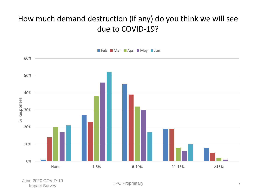### How much demand destruction (if any) do you think we will see due to COVID-19?



June 2020 COVID-19 Let the Contract Survey TPC Proprietary TPC Proprietary The Contract Survey The Contract Survey The Contract Survey The Contract Survey The Contract Survey The Contract Survey The Contract Survey The Contract Survey The Co